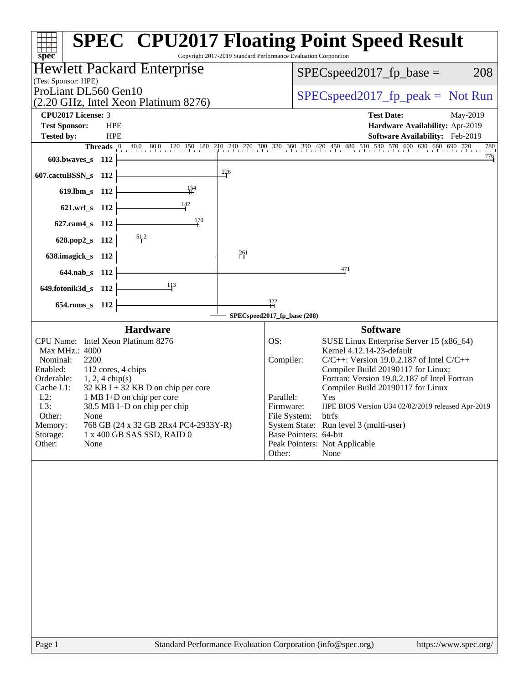| $spec^*$                                                                                                                                                                                                                                                                                                                                                                                                                                    | <b>SPEC<sup>®</sup> CPU2017 Floating Point Speed Result</b><br>Copyright 2017-2019 Standard Performance Evaluation Corporation                                                                                                                                                                                                                                                                                                                                                                                                |  |  |  |  |  |  |
|---------------------------------------------------------------------------------------------------------------------------------------------------------------------------------------------------------------------------------------------------------------------------------------------------------------------------------------------------------------------------------------------------------------------------------------------|-------------------------------------------------------------------------------------------------------------------------------------------------------------------------------------------------------------------------------------------------------------------------------------------------------------------------------------------------------------------------------------------------------------------------------------------------------------------------------------------------------------------------------|--|--|--|--|--|--|
| Hewlett Packard Enterprise                                                                                                                                                                                                                                                                                                                                                                                                                  | 208<br>$SPEC speed2017fr base =$                                                                                                                                                                                                                                                                                                                                                                                                                                                                                              |  |  |  |  |  |  |
| (Test Sponsor: HPE)                                                                                                                                                                                                                                                                                                                                                                                                                         |                                                                                                                                                                                                                                                                                                                                                                                                                                                                                                                               |  |  |  |  |  |  |
| ProLiant DL560 Gen10                                                                                                                                                                                                                                                                                                                                                                                                                        | $SPEC speed2017fr peak = Not Run$                                                                                                                                                                                                                                                                                                                                                                                                                                                                                             |  |  |  |  |  |  |
| (2.20 GHz, Intel Xeon Platinum 8276)                                                                                                                                                                                                                                                                                                                                                                                                        |                                                                                                                                                                                                                                                                                                                                                                                                                                                                                                                               |  |  |  |  |  |  |
| CPU2017 License: 3                                                                                                                                                                                                                                                                                                                                                                                                                          | <b>Test Date:</b><br>May-2019                                                                                                                                                                                                                                                                                                                                                                                                                                                                                                 |  |  |  |  |  |  |
| <b>Test Sponsor:</b><br><b>HPE</b><br>Hardware Availability: Apr-2019<br><b>Tested by:</b><br><b>HPE</b><br><b>Software Availability:</b> Feb-2019                                                                                                                                                                                                                                                                                          |                                                                                                                                                                                                                                                                                                                                                                                                                                                                                                                               |  |  |  |  |  |  |
| <b>Threads</b> $\vert 0 \rangle$                                                                                                                                                                                                                                                                                                                                                                                                            | 40.0 80.0 120 150 180 210 240 270 300 330 360 390 420 450 480 510 540 570 600 630 660 690 720<br>780                                                                                                                                                                                                                                                                                                                                                                                                                          |  |  |  |  |  |  |
| 603.bwaves_s 112                                                                                                                                                                                                                                                                                                                                                                                                                            | 776                                                                                                                                                                                                                                                                                                                                                                                                                                                                                                                           |  |  |  |  |  |  |
| $^{226}$<br>607.cactuBSSN_s 112                                                                                                                                                                                                                                                                                                                                                                                                             |                                                                                                                                                                                                                                                                                                                                                                                                                                                                                                                               |  |  |  |  |  |  |
| $\frac{154}{11}$<br>$619.$ lbm_s<br>- 112                                                                                                                                                                                                                                                                                                                                                                                                   |                                                                                                                                                                                                                                                                                                                                                                                                                                                                                                                               |  |  |  |  |  |  |
| $\frac{142}{ }$                                                                                                                                                                                                                                                                                                                                                                                                                             |                                                                                                                                                                                                                                                                                                                                                                                                                                                                                                                               |  |  |  |  |  |  |
| 621.wrf_s 112                                                                                                                                                                                                                                                                                                                                                                                                                               |                                                                                                                                                                                                                                                                                                                                                                                                                                                                                                                               |  |  |  |  |  |  |
| 170<br>627.cam4_s 112                                                                                                                                                                                                                                                                                                                                                                                                                       |                                                                                                                                                                                                                                                                                                                                                                                                                                                                                                                               |  |  |  |  |  |  |
| 628.pop2_s 112                                                                                                                                                                                                                                                                                                                                                                                                                              |                                                                                                                                                                                                                                                                                                                                                                                                                                                                                                                               |  |  |  |  |  |  |
| 261<br>638.imagick_s 112                                                                                                                                                                                                                                                                                                                                                                                                                    |                                                                                                                                                                                                                                                                                                                                                                                                                                                                                                                               |  |  |  |  |  |  |
| 644.nab_s 112                                                                                                                                                                                                                                                                                                                                                                                                                               | 471                                                                                                                                                                                                                                                                                                                                                                                                                                                                                                                           |  |  |  |  |  |  |
| 413                                                                                                                                                                                                                                                                                                                                                                                                                                         |                                                                                                                                                                                                                                                                                                                                                                                                                                                                                                                               |  |  |  |  |  |  |
| 649.fotonik3d_s 112                                                                                                                                                                                                                                                                                                                                                                                                                         | $\frac{322}{11}$                                                                                                                                                                                                                                                                                                                                                                                                                                                                                                              |  |  |  |  |  |  |
| 654.roms_s 112                                                                                                                                                                                                                                                                                                                                                                                                                              | SPECspeed2017_fp_base (208)                                                                                                                                                                                                                                                                                                                                                                                                                                                                                                   |  |  |  |  |  |  |
|                                                                                                                                                                                                                                                                                                                                                                                                                                             |                                                                                                                                                                                                                                                                                                                                                                                                                                                                                                                               |  |  |  |  |  |  |
| <b>Hardware</b><br>CPU Name: Intel Xeon Platinum 8276<br><b>Max MHz.: 4000</b><br>2200<br>Nominal:<br>Enabled:<br>112 cores, 4 chips<br>Orderable:<br>$1, 2, 4$ chip(s)<br>$32$ KB I + 32 KB D on chip per core<br>Cache L1:<br>$L2$ :<br>1 MB I+D on chip per core<br>L3:<br>38.5 MB I+D on chip per chip<br>Other:<br>None<br>Memory:<br>768 GB (24 x 32 GB 2Rx4 PC4-2933Y-R)<br>Storage:<br>1 x 400 GB SAS SSD, RAID 0<br>Other:<br>None | <b>Software</b><br>OS:<br>SUSE Linux Enterprise Server 15 (x86_64)<br>Kernel 4.12.14-23-default<br>Compiler:<br>$C/C++$ : Version 19.0.2.187 of Intel $C/C++$<br>Compiler Build 20190117 for Linux;<br>Fortran: Version 19.0.2.187 of Intel Fortran<br>Compiler Build 20190117 for Linux<br>Parallel:<br>Yes<br>HPE BIOS Version U34 02/02/2019 released Apr-2019<br>Firmware:<br>File System:<br>btrfs<br>System State: Run level 3 (multi-user)<br>Base Pointers: 64-bit<br>Peak Pointers: Not Applicable<br>None<br>Other: |  |  |  |  |  |  |
|                                                                                                                                                                                                                                                                                                                                                                                                                                             |                                                                                                                                                                                                                                                                                                                                                                                                                                                                                                                               |  |  |  |  |  |  |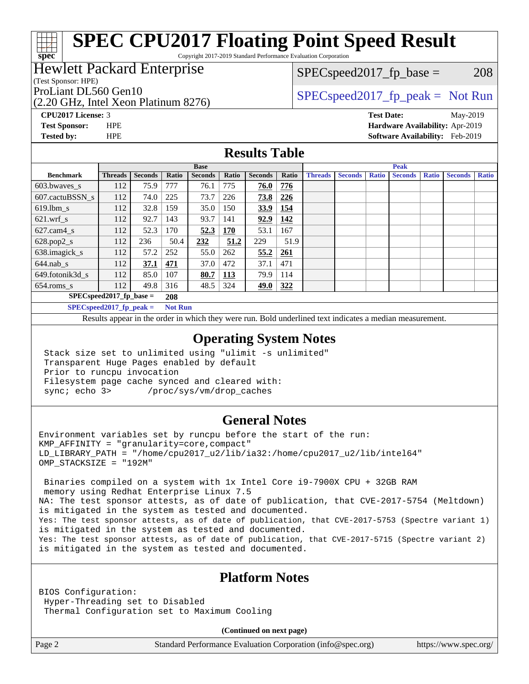Copyright 2017-2019 Standard Performance Evaluation Corporation

### Hewlett Packard Enterprise

(Test Sponsor: HPE)

**[spec](http://www.spec.org/)**

 $SPEC speed2017_fp\_base = 208$ 

### (2.20 GHz, Intel Xeon Platinum 8276)

ProLiant DL560 Gen10  $SPEC speed2017$  fp\_peak = Not Run

**[CPU2017 License:](http://www.spec.org/auto/cpu2017/Docs/result-fields.html#CPU2017License)** 3 **[Test Date:](http://www.spec.org/auto/cpu2017/Docs/result-fields.html#TestDate)** May-2019

**[Test Sponsor:](http://www.spec.org/auto/cpu2017/Docs/result-fields.html#TestSponsor)** HPE **[Hardware Availability:](http://www.spec.org/auto/cpu2017/Docs/result-fields.html#HardwareAvailability)** Apr-2019 **[Tested by:](http://www.spec.org/auto/cpu2017/Docs/result-fields.html#Testedby)** HPE **[Software Availability:](http://www.spec.org/auto/cpu2017/Docs/result-fields.html#SoftwareAvailability)** Feb-2019

#### **[Results Table](http://www.spec.org/auto/cpu2017/Docs/result-fields.html#ResultsTable)**

|                            | <b>Base</b>                |                |                | <b>Peak</b>    |            |                |            |                |                |              |                |              |                |              |
|----------------------------|----------------------------|----------------|----------------|----------------|------------|----------------|------------|----------------|----------------|--------------|----------------|--------------|----------------|--------------|
| <b>Benchmark</b>           | <b>Threads</b>             | <b>Seconds</b> | Ratio          | <b>Seconds</b> | Ratio      | <b>Seconds</b> | Ratio      | <b>Threads</b> | <b>Seconds</b> | <b>Ratio</b> | <b>Seconds</b> | <b>Ratio</b> | <b>Seconds</b> | <b>Ratio</b> |
| $603.bwaves$ s             | 112                        | 75.9           | 777            | 76.1           | 775        | 76.0           | 776        |                |                |              |                |              |                |              |
| 607.cactuBSSN s            | 112                        | 74.0           | 225            | 73.7           | 226        | 73.8           | 226        |                |                |              |                |              |                |              |
| $619.1$ bm s               | 112                        | 32.8           | 159            | 35.0           | 150        | 33.9           | 154        |                |                |              |                |              |                |              |
| $621$ .wrf s               | 112                        | 92.7           | 143            | 93.7           | 141        | 92.9           | 142        |                |                |              |                |              |                |              |
| $627.cam4_s$               | 112                        | 52.3           | 170            | 52.3           | 170        | 53.1           | 167        |                |                |              |                |              |                |              |
| $628.pop2_s$               | 112                        | 236            | 50.4           | 232            | 51.2       | 229            | 51.9       |                |                |              |                |              |                |              |
| 638.imagick_s              | 112                        | 57.2           | 252            | 55.0           | 262        | 55.2           | 261        |                |                |              |                |              |                |              |
| $644$ .nab s               | 112                        | 37.1           | 471            | 37.0           | 472        | 37.1           | 471        |                |                |              |                |              |                |              |
| 649.fotonik3d s            | 112                        | 85.0           | 107            | 80.7           | <u>113</u> | 79.9           | 114        |                |                |              |                |              |                |              |
| $654$ .roms s              | 112                        | 49.8           | 316            | 48.5           | 324        | 49.0           | <u>322</u> |                |                |              |                |              |                |              |
|                            | $SPEC speed2017$ fp base = |                | 208            |                |            |                |            |                |                |              |                |              |                |              |
| $SPECspeed2017_fp\_peak =$ |                            |                | <b>Not Run</b> |                |            |                |            |                |                |              |                |              |                |              |

Results appear in the [order in which they were run.](http://www.spec.org/auto/cpu2017/Docs/result-fields.html#RunOrder) Bold underlined text [indicates a median measurement](http://www.spec.org/auto/cpu2017/Docs/result-fields.html#Median).

#### **[Operating System Notes](http://www.spec.org/auto/cpu2017/Docs/result-fields.html#OperatingSystemNotes)**

 Stack size set to unlimited using "ulimit -s unlimited" Transparent Huge Pages enabled by default Prior to runcpu invocation Filesystem page cache synced and cleared with: sync; echo 3> /proc/sys/vm/drop\_caches

### **[General Notes](http://www.spec.org/auto/cpu2017/Docs/result-fields.html#GeneralNotes)**

Environment variables set by runcpu before the start of the run: KMP\_AFFINITY = "granularity=core,compact" LD\_LIBRARY\_PATH = "/home/cpu2017\_u2/lib/ia32:/home/cpu2017\_u2/lib/intel64" OMP\_STACKSIZE = "192M"

 Binaries compiled on a system with 1x Intel Core i9-7900X CPU + 32GB RAM memory using Redhat Enterprise Linux 7.5 NA: The test sponsor attests, as of date of publication, that CVE-2017-5754 (Meltdown) is mitigated in the system as tested and documented. Yes: The test sponsor attests, as of date of publication, that CVE-2017-5753 (Spectre variant 1) is mitigated in the system as tested and documented. Yes: The test sponsor attests, as of date of publication, that CVE-2017-5715 (Spectre variant 2) is mitigated in the system as tested and documented.

### **[Platform Notes](http://www.spec.org/auto/cpu2017/Docs/result-fields.html#PlatformNotes)**

BIOS Configuration: Hyper-Threading set to Disabled Thermal Configuration set to Maximum Cooling

**(Continued on next page)**

Page 2 Standard Performance Evaluation Corporation [\(info@spec.org\)](mailto:info@spec.org) <https://www.spec.org/>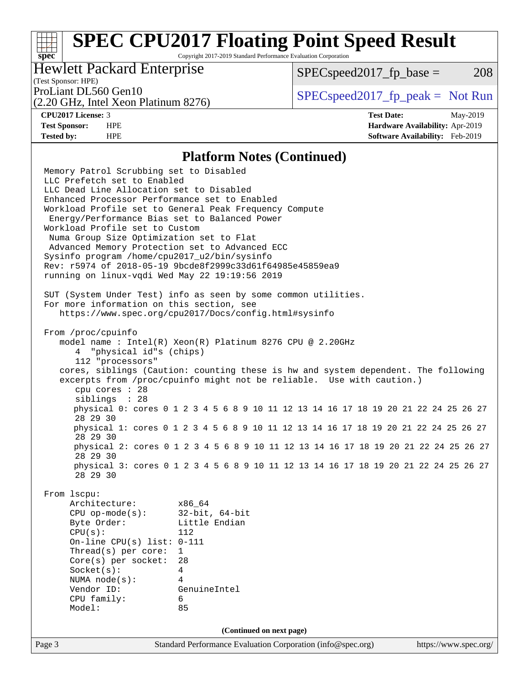Copyright 2017-2019 Standard Performance Evaluation Corporation

### Hewlett Packard Enterprise

 $SPEC speed2017<sub>fp</sub> base = 208$ 

### (Test Sponsor: HPE)

(2.20 GHz, Intel Xeon Platinum 8276)

ProLiant DL560 Gen10  $SPEC speed2017$  [p\_peak = Not Run

**[spec](http://www.spec.org/)**

**[CPU2017 License:](http://www.spec.org/auto/cpu2017/Docs/result-fields.html#CPU2017License)** 3 **[Test Date:](http://www.spec.org/auto/cpu2017/Docs/result-fields.html#TestDate)** May-2019 **[Test Sponsor:](http://www.spec.org/auto/cpu2017/Docs/result-fields.html#TestSponsor)** HPE **[Hardware Availability:](http://www.spec.org/auto/cpu2017/Docs/result-fields.html#HardwareAvailability)** Apr-2019 **[Tested by:](http://www.spec.org/auto/cpu2017/Docs/result-fields.html#Testedby)** HPE **[Software Availability:](http://www.spec.org/auto/cpu2017/Docs/result-fields.html#SoftwareAvailability)** Feb-2019

#### **[Platform Notes \(Continued\)](http://www.spec.org/auto/cpu2017/Docs/result-fields.html#PlatformNotes)**

Page 3 Standard Performance Evaluation Corporation [\(info@spec.org\)](mailto:info@spec.org) <https://www.spec.org/> Memory Patrol Scrubbing set to Disabled LLC Prefetch set to Enabled LLC Dead Line Allocation set to Disabled Enhanced Processor Performance set to Enabled Workload Profile set to General Peak Frequency Compute Energy/Performance Bias set to Balanced Power Workload Profile set to Custom Numa Group Size Optimization set to Flat Advanced Memory Protection set to Advanced ECC Sysinfo program /home/cpu2017\_u2/bin/sysinfo Rev: r5974 of 2018-05-19 9bcde8f2999c33d61f64985e45859ea9 running on linux-vqdi Wed May 22 19:19:56 2019 SUT (System Under Test) info as seen by some common utilities. For more information on this section, see <https://www.spec.org/cpu2017/Docs/config.html#sysinfo> From /proc/cpuinfo model name : Intel(R) Xeon(R) Platinum 8276 CPU @ 2.20GHz 4 "physical id"s (chips) 112 "processors" cores, siblings (Caution: counting these is hw and system dependent. The following excerpts from /proc/cpuinfo might not be reliable. Use with caution.) cpu cores : 28 siblings : 28 physical 0: cores 0 1 2 3 4 5 6 8 9 10 11 12 13 14 16 17 18 19 20 21 22 24 25 26 27 28 29 30 physical 1: cores 0 1 2 3 4 5 6 8 9 10 11 12 13 14 16 17 18 19 20 21 22 24 25 26 27 28 29 30 physical 2: cores 0 1 2 3 4 5 6 8 9 10 11 12 13 14 16 17 18 19 20 21 22 24 25 26 27 28 29 30 physical 3: cores 0 1 2 3 4 5 6 8 9 10 11 12 13 14 16 17 18 19 20 21 22 24 25 26 27 28 29 30 From lscpu: Architecture: x86\_64 CPU op-mode(s): 32-bit, 64-bit Byte Order: Little Endian CPU(s): 112 On-line CPU(s) list: 0-111 Thread(s) per core: 1 Core(s) per socket: 28 Socket(s): 4 NUMA node(s): 4 Vendor ID: GenuineIntel CPU family: 6 Model: 85 **(Continued on next page)**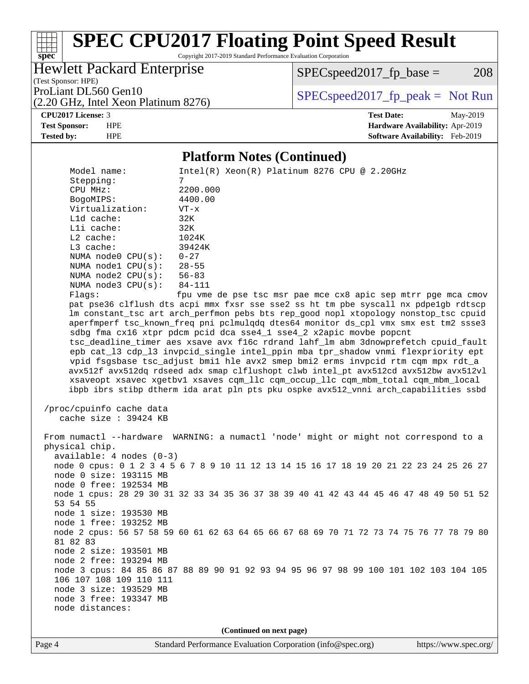Copyright 2017-2019 Standard Performance Evaluation Corporation

(Test Sponsor: HPE) Hewlett Packard Enterprise

 $SPEC speed2017<sub>fp</sub> base = 208$ 

(2.20 GHz, Intel Xeon Platinum 8276)

ProLiant DL560 Gen10  $SPEC speed2017$  [p\_peak = Not Run

**[CPU2017 License:](http://www.spec.org/auto/cpu2017/Docs/result-fields.html#CPU2017License)** 3 **[Test Date:](http://www.spec.org/auto/cpu2017/Docs/result-fields.html#TestDate)** May-2019

**[spec](http://www.spec.org/)**

**[Test Sponsor:](http://www.spec.org/auto/cpu2017/Docs/result-fields.html#TestSponsor)** HPE **[Hardware Availability:](http://www.spec.org/auto/cpu2017/Docs/result-fields.html#HardwareAvailability)** Apr-2019 **[Tested by:](http://www.spec.org/auto/cpu2017/Docs/result-fields.html#Testedby)** HPE **[Software Availability:](http://www.spec.org/auto/cpu2017/Docs/result-fields.html#SoftwareAvailability)** Feb-2019

#### **[Platform Notes \(Continued\)](http://www.spec.org/auto/cpu2017/Docs/result-fields.html#PlatformNotes)**

Model name: Intel(R) Xeon(R) Platinum 8276 CPU @ 2.20GHz Stepping: 7 CPU MHz: 2200.000 BogoMIPS: 4400.00 Virtualization: VT-x L1d cache: 32K L1i cache: 32K L2 cache: 1024K<br>
L3 cache: 39424K  $L3$  cache: NUMA node0 CPU(s): 0-27 NUMA node1 CPU(s): 28-55<br>NUMA node2 CPU(s): 56-83 NUMA node2  $CPU(s):$  NUMA node3 CPU(s): 84-111 Flags: fpu vme de pse tsc msr pae mce cx8 apic sep mtrr pge mca cmov pat pse36 clflush dts acpi mmx fxsr sse sse2 ss ht tm pbe syscall nx pdpe1gb rdtscp lm constant\_tsc art arch\_perfmon pebs bts rep\_good nopl xtopology nonstop\_tsc cpuid aperfmperf tsc\_known\_freq pni pclmulqdq dtes64 monitor ds\_cpl vmx smx est tm2 ssse3 sdbg fma cx16 xtpr pdcm pcid dca sse4\_1 sse4\_2 x2apic movbe popcnt tsc\_deadline\_timer aes xsave avx f16c rdrand lahf\_lm abm 3dnowprefetch cpuid\_fault epb cat\_l3 cdp\_l3 invpcid\_single intel\_ppin mba tpr\_shadow vnmi flexpriority ept vpid fsgsbase tsc\_adjust bmi1 hle avx2 smep bmi2 erms invpcid rtm cqm mpx rdt\_a avx512f avx512dq rdseed adx smap clflushopt clwb intel\_pt avx512cd avx512bw avx512vl xsaveopt xsavec xgetbv1 xsaves cqm\_llc cqm\_occup\_llc cqm\_mbm\_total cqm\_mbm\_local ibpb ibrs stibp dtherm ida arat pln pts pku ospke avx512\_vnni arch\_capabilities ssbd /proc/cpuinfo cache data cache size : 39424 KB From numactl --hardware WARNING: a numactl 'node' might or might not correspond to a physical chip. available: 4 nodes (0-3) node 0 cpus: 0 1 2 3 4 5 6 7 8 9 10 11 12 13 14 15 16 17 18 19 20 21 22 23 24 25 26 27 node 0 size: 193115 MB node 0 free: 192534 MB node 1 cpus: 28 29 30 31 32 33 34 35 36 37 38 39 40 41 42 43 44 45 46 47 48 49 50 51 52 53 54 55 node 1 size: 193530 MB node 1 free: 193252 MB node 2 cpus: 56 57 58 59 60 61 62 63 64 65 66 67 68 69 70 71 72 73 74 75 76 77 78 79 80 81 82 83 node 2 size: 193501 MB node 2 free: 193294 MB node 3 cpus: 84 85 86 87 88 89 90 91 92 93 94 95 96 97 98 99 100 101 102 103 104 105 106 107 108 109 110 111 node 3 size: 193529 MB node 3 free: 193347 MB node distances: **(Continued on next page)**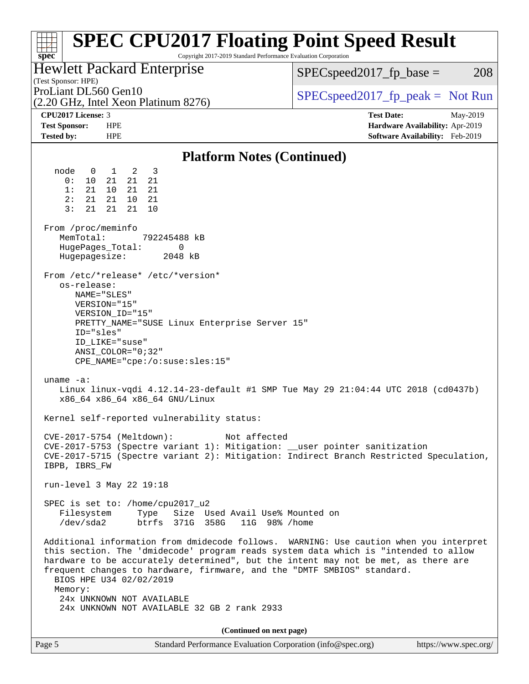| <b>SPEC CPU2017 Floating Point Speed Result</b><br>Copyright 2017-2019 Standard Performance Evaluation Corporation<br>$spec^*$                                                                                                                                                                                                                                                                                                                                   |                                                                    |
|------------------------------------------------------------------------------------------------------------------------------------------------------------------------------------------------------------------------------------------------------------------------------------------------------------------------------------------------------------------------------------------------------------------------------------------------------------------|--------------------------------------------------------------------|
| <b>Hewlett Packard Enterprise</b><br>(Test Sponsor: HPE)                                                                                                                                                                                                                                                                                                                                                                                                         | $SPEC speed2017_fp\_base =$<br>208                                 |
| ProLiant DL560 Gen10<br>(2.20 GHz, Intel Xeon Platinum 8276)                                                                                                                                                                                                                                                                                                                                                                                                     | $SPEC speed2017_fp\_peak = Not Run$                                |
| CPU2017 License: 3                                                                                                                                                                                                                                                                                                                                                                                                                                               | <b>Test Date:</b><br>May-2019                                      |
| <b>Test Sponsor:</b><br><b>HPE</b><br><b>Tested by:</b><br><b>HPE</b>                                                                                                                                                                                                                                                                                                                                                                                            | Hardware Availability: Apr-2019<br>Software Availability: Feb-2019 |
| <b>Platform Notes (Continued)</b>                                                                                                                                                                                                                                                                                                                                                                                                                                |                                                                    |
| node<br>1 2<br>$\overline{\mathbf{3}}$<br>$\overline{0}$                                                                                                                                                                                                                                                                                                                                                                                                         |                                                                    |
| 0:<br>10<br>21<br>21<br>21<br>1:<br>21<br>10 <sup>1</sup><br>21<br>21<br>21<br>21<br>10<br>2:<br>- 21<br>3:<br>21<br>21<br>21<br>10                                                                                                                                                                                                                                                                                                                              |                                                                    |
| From /proc/meminfo<br>MemTotal:<br>792245488 kB<br>HugePages_Total:<br>0<br>Hugepagesize:<br>2048 kB                                                                                                                                                                                                                                                                                                                                                             |                                                                    |
| From /etc/*release* /etc/*version*<br>os-release:<br>NAME = " SLES "<br>VERSION="15"<br>VERSION_ID="15"<br>PRETTY_NAME="SUSE Linux Enterprise Server 15"<br>ID="sles"<br>ID LIKE="suse"<br>ANSI COLOR="0;32"<br>CPE_NAME="cpe:/o:suse:sles:15"                                                                                                                                                                                                                   |                                                                    |
| uname $-a$ :<br>Linux linux-vqdi 4.12.14-23-default #1 SMP Tue May 29 21:04:44 UTC 2018 (cd0437b)<br>x86_64 x86_64 x86_64 GNU/Linux                                                                                                                                                                                                                                                                                                                              |                                                                    |
| Kernel self-reported vulnerability status:                                                                                                                                                                                                                                                                                                                                                                                                                       |                                                                    |
| Not affected<br>CVE-2017-5754 (Meltdown):<br>CVE-2017-5753 (Spectre variant 1): Mitigation: __user pointer sanitization<br>CVE-2017-5715 (Spectre variant 2): Mitigation: Indirect Branch Restricted Speculation,<br>IBPB, IBRS_FW                                                                                                                                                                                                                               |                                                                    |
| run-level 3 May 22 19:18                                                                                                                                                                                                                                                                                                                                                                                                                                         |                                                                    |
| SPEC is set to: /home/cpu2017_u2<br>Type Size Used Avail Use% Mounted on<br>Filesystem<br>/dev/sda2<br>btrfs 371G 358G<br>11G 98% / home                                                                                                                                                                                                                                                                                                                         |                                                                    |
| Additional information from dmidecode follows. WARNING: Use caution when you interpret<br>this section. The 'dmidecode' program reads system data which is "intended to allow<br>hardware to be accurately determined", but the intent may not be met, as there are<br>frequent changes to hardware, firmware, and the "DMTF SMBIOS" standard.<br>BIOS HPE U34 02/02/2019<br>Memory:<br>24x UNKNOWN NOT AVAILABLE<br>24x UNKNOWN NOT AVAILABLE 32 GB 2 rank 2933 |                                                                    |
| (Continued on next page)                                                                                                                                                                                                                                                                                                                                                                                                                                         |                                                                    |
| Standard Performance Evaluation Corporation (info@spec.org)<br>Page 5                                                                                                                                                                                                                                                                                                                                                                                            | https://www.spec.org/                                              |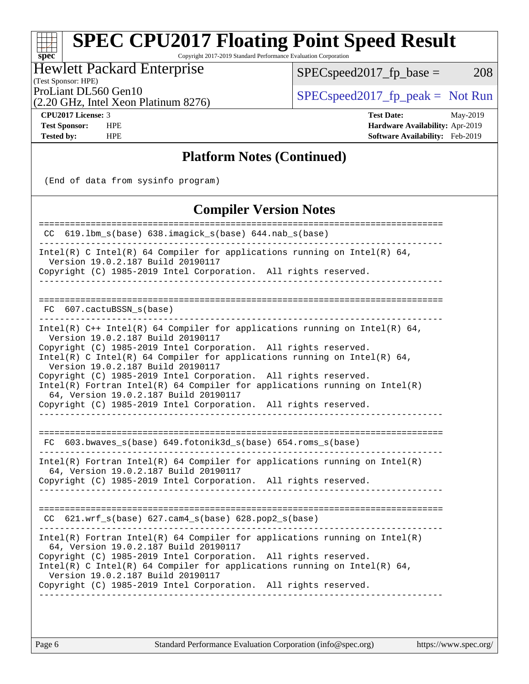Copyright 2017-2019 Standard Performance Evaluation Corporation

Hewlett Packard Enterprise

 $SPEC speed2017_fp\_base = 208$ 

(Test Sponsor: HPE)

ProLiant DL560 Gen10<br>  $SPEC speed2017$  [p\_peak = Not Run

(2.20 GHz, Intel Xeon Platinum 8276)

**[spec](http://www.spec.org/)**

**[CPU2017 License:](http://www.spec.org/auto/cpu2017/Docs/result-fields.html#CPU2017License)** 3 **[Test Date:](http://www.spec.org/auto/cpu2017/Docs/result-fields.html#TestDate)** May-2019 **[Test Sponsor:](http://www.spec.org/auto/cpu2017/Docs/result-fields.html#TestSponsor)** HPE **[Hardware Availability:](http://www.spec.org/auto/cpu2017/Docs/result-fields.html#HardwareAvailability)** Apr-2019 **[Tested by:](http://www.spec.org/auto/cpu2017/Docs/result-fields.html#Testedby)** HPE **[Software Availability:](http://www.spec.org/auto/cpu2017/Docs/result-fields.html#SoftwareAvailability)** Feb-2019

### **[Platform Notes \(Continued\)](http://www.spec.org/auto/cpu2017/Docs/result-fields.html#PlatformNotes)**

(End of data from sysinfo program)

### **[Compiler Version Notes](http://www.spec.org/auto/cpu2017/Docs/result-fields.html#CompilerVersionNotes)**

| 619.1bm_s(base) 638.imagick_s(base) 644.nab_s(base)<br>CC.                                                                                                                                                                                                                                                                                                                                                                                                                                                                                                           |
|----------------------------------------------------------------------------------------------------------------------------------------------------------------------------------------------------------------------------------------------------------------------------------------------------------------------------------------------------------------------------------------------------------------------------------------------------------------------------------------------------------------------------------------------------------------------|
| Intel(R) C Intel(R) 64 Compiler for applications running on Intel(R) 64,<br>Version 19.0.2.187 Build 20190117<br>Copyright (C) 1985-2019 Intel Corporation. All rights reserved.                                                                                                                                                                                                                                                                                                                                                                                     |
| 607.cactuBSSN s(base)<br>FC.                                                                                                                                                                                                                                                                                                                                                                                                                                                                                                                                         |
| $Intel(R)$ C++ Intel(R) 64 Compiler for applications running on Intel(R) 64,<br>Version 19.0.2.187 Build 20190117<br>Copyright (C) 1985-2019 Intel Corporation. All rights reserved.<br>Intel(R) C Intel(R) 64 Compiler for applications running on Intel(R) 64,<br>Version 19.0.2.187 Build 20190117<br>Copyright (C) 1985-2019 Intel Corporation. All rights reserved.<br>$Intel(R)$ Fortran Intel(R) 64 Compiler for applications running on Intel(R)<br>64, Version 19.0.2.187 Build 20190117<br>Copyright (C) 1985-2019 Intel Corporation. All rights reserved. |
| FC 603.bwaves_s(base) 649.fotonik3d_s(base) 654.roms_s(base)                                                                                                                                                                                                                                                                                                                                                                                                                                                                                                         |
| $Intel(R)$ Fortran Intel(R) 64 Compiler for applications running on Intel(R)<br>64, Version 19.0.2.187 Build 20190117<br>Copyright (C) 1985-2019 Intel Corporation. All rights reserved.                                                                                                                                                                                                                                                                                                                                                                             |
| 621.wrf_s(base) 627.cam4_s(base) 628.pop2_s(base)<br>CC.                                                                                                                                                                                                                                                                                                                                                                                                                                                                                                             |
| $Intel(R)$ Fortran Intel(R) 64 Compiler for applications running on Intel(R)<br>64, Version 19.0.2.187 Build 20190117<br>Copyright (C) 1985-2019 Intel Corporation. All rights reserved.<br>$Intel(R)$ C Intel(R) 64 Compiler for applications running on Intel(R) 64,<br>Version 19.0.2.187 Build 20190117<br>Copyright (C) 1985-2019 Intel Corporation. All rights reserved.                                                                                                                                                                                       |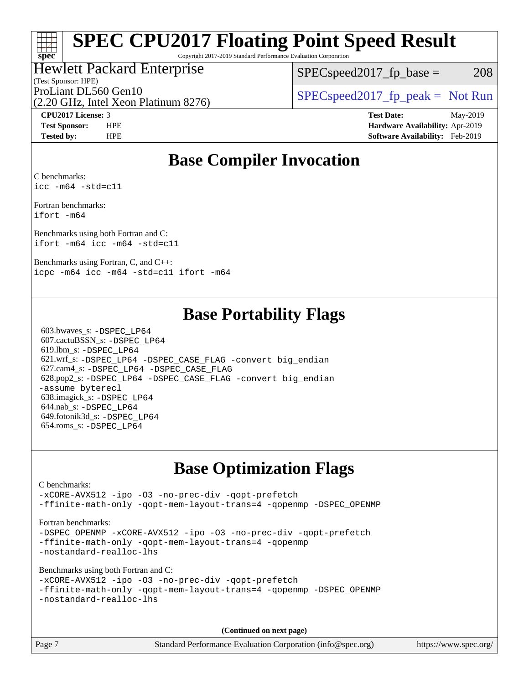Copyright 2017-2019 Standard Performance Evaluation Corporation

### Hewlett Packard Enterprise

(Test Sponsor: HPE)

 $SPEC speed2017_fp\_base = 208$ 

(2.20 GHz, Intel Xeon Platinum 8276) ProLiant DL560 Gen10  $SPEC speed2017$  [p\_peak = Not Run

**[spec](http://www.spec.org/)**

**[CPU2017 License:](http://www.spec.org/auto/cpu2017/Docs/result-fields.html#CPU2017License)** 3 **[Test Date:](http://www.spec.org/auto/cpu2017/Docs/result-fields.html#TestDate)** May-2019 **[Test Sponsor:](http://www.spec.org/auto/cpu2017/Docs/result-fields.html#TestSponsor)** HPE **[Hardware Availability:](http://www.spec.org/auto/cpu2017/Docs/result-fields.html#HardwareAvailability)** Apr-2019 **[Tested by:](http://www.spec.org/auto/cpu2017/Docs/result-fields.html#Testedby)** HPE **[Software Availability:](http://www.spec.org/auto/cpu2017/Docs/result-fields.html#SoftwareAvailability)** Feb-2019

### **[Base Compiler Invocation](http://www.spec.org/auto/cpu2017/Docs/result-fields.html#BaseCompilerInvocation)**

[C benchmarks:](http://www.spec.org/auto/cpu2017/Docs/result-fields.html#Cbenchmarks) [icc -m64 -std=c11](http://www.spec.org/cpu2017/results/res2019q3/cpu2017-20190625-15749.flags.html#user_CCbase_intel_icc_64bit_c11_33ee0cdaae7deeeab2a9725423ba97205ce30f63b9926c2519791662299b76a0318f32ddfffdc46587804de3178b4f9328c46fa7c2b0cd779d7a61945c91cd35)

[Fortran benchmarks](http://www.spec.org/auto/cpu2017/Docs/result-fields.html#Fortranbenchmarks): [ifort -m64](http://www.spec.org/cpu2017/results/res2019q3/cpu2017-20190625-15749.flags.html#user_FCbase_intel_ifort_64bit_24f2bb282fbaeffd6157abe4f878425411749daecae9a33200eee2bee2fe76f3b89351d69a8130dd5949958ce389cf37ff59a95e7a40d588e8d3a57e0c3fd751)

[Benchmarks using both Fortran and C:](http://www.spec.org/auto/cpu2017/Docs/result-fields.html#BenchmarksusingbothFortranandC) [ifort -m64](http://www.spec.org/cpu2017/results/res2019q3/cpu2017-20190625-15749.flags.html#user_CC_FCbase_intel_ifort_64bit_24f2bb282fbaeffd6157abe4f878425411749daecae9a33200eee2bee2fe76f3b89351d69a8130dd5949958ce389cf37ff59a95e7a40d588e8d3a57e0c3fd751) [icc -m64 -std=c11](http://www.spec.org/cpu2017/results/res2019q3/cpu2017-20190625-15749.flags.html#user_CC_FCbase_intel_icc_64bit_c11_33ee0cdaae7deeeab2a9725423ba97205ce30f63b9926c2519791662299b76a0318f32ddfffdc46587804de3178b4f9328c46fa7c2b0cd779d7a61945c91cd35)

[Benchmarks using Fortran, C, and C++:](http://www.spec.org/auto/cpu2017/Docs/result-fields.html#BenchmarksusingFortranCandCXX) [icpc -m64](http://www.spec.org/cpu2017/results/res2019q3/cpu2017-20190625-15749.flags.html#user_CC_CXX_FCbase_intel_icpc_64bit_4ecb2543ae3f1412ef961e0650ca070fec7b7afdcd6ed48761b84423119d1bf6bdf5cad15b44d48e7256388bc77273b966e5eb805aefd121eb22e9299b2ec9d9) [icc -m64 -std=c11](http://www.spec.org/cpu2017/results/res2019q3/cpu2017-20190625-15749.flags.html#user_CC_CXX_FCbase_intel_icc_64bit_c11_33ee0cdaae7deeeab2a9725423ba97205ce30f63b9926c2519791662299b76a0318f32ddfffdc46587804de3178b4f9328c46fa7c2b0cd779d7a61945c91cd35) [ifort -m64](http://www.spec.org/cpu2017/results/res2019q3/cpu2017-20190625-15749.flags.html#user_CC_CXX_FCbase_intel_ifort_64bit_24f2bb282fbaeffd6157abe4f878425411749daecae9a33200eee2bee2fe76f3b89351d69a8130dd5949958ce389cf37ff59a95e7a40d588e8d3a57e0c3fd751)

### **[Base Portability Flags](http://www.spec.org/auto/cpu2017/Docs/result-fields.html#BasePortabilityFlags)**

 603.bwaves\_s: [-DSPEC\\_LP64](http://www.spec.org/cpu2017/results/res2019q3/cpu2017-20190625-15749.flags.html#suite_basePORTABILITY603_bwaves_s_DSPEC_LP64) 607.cactuBSSN\_s: [-DSPEC\\_LP64](http://www.spec.org/cpu2017/results/res2019q3/cpu2017-20190625-15749.flags.html#suite_basePORTABILITY607_cactuBSSN_s_DSPEC_LP64) 619.lbm\_s: [-DSPEC\\_LP64](http://www.spec.org/cpu2017/results/res2019q3/cpu2017-20190625-15749.flags.html#suite_basePORTABILITY619_lbm_s_DSPEC_LP64) 621.wrf\_s: [-DSPEC\\_LP64](http://www.spec.org/cpu2017/results/res2019q3/cpu2017-20190625-15749.flags.html#suite_basePORTABILITY621_wrf_s_DSPEC_LP64) [-DSPEC\\_CASE\\_FLAG](http://www.spec.org/cpu2017/results/res2019q3/cpu2017-20190625-15749.flags.html#b621.wrf_s_baseCPORTABILITY_DSPEC_CASE_FLAG) [-convert big\\_endian](http://www.spec.org/cpu2017/results/res2019q3/cpu2017-20190625-15749.flags.html#user_baseFPORTABILITY621_wrf_s_convert_big_endian_c3194028bc08c63ac5d04de18c48ce6d347e4e562e8892b8bdbdc0214820426deb8554edfa529a3fb25a586e65a3d812c835984020483e7e73212c4d31a38223) 627.cam4\_s: [-DSPEC\\_LP64](http://www.spec.org/cpu2017/results/res2019q3/cpu2017-20190625-15749.flags.html#suite_basePORTABILITY627_cam4_s_DSPEC_LP64) [-DSPEC\\_CASE\\_FLAG](http://www.spec.org/cpu2017/results/res2019q3/cpu2017-20190625-15749.flags.html#b627.cam4_s_baseCPORTABILITY_DSPEC_CASE_FLAG) 628.pop2\_s: [-DSPEC\\_LP64](http://www.spec.org/cpu2017/results/res2019q3/cpu2017-20190625-15749.flags.html#suite_basePORTABILITY628_pop2_s_DSPEC_LP64) [-DSPEC\\_CASE\\_FLAG](http://www.spec.org/cpu2017/results/res2019q3/cpu2017-20190625-15749.flags.html#b628.pop2_s_baseCPORTABILITY_DSPEC_CASE_FLAG) [-convert big\\_endian](http://www.spec.org/cpu2017/results/res2019q3/cpu2017-20190625-15749.flags.html#user_baseFPORTABILITY628_pop2_s_convert_big_endian_c3194028bc08c63ac5d04de18c48ce6d347e4e562e8892b8bdbdc0214820426deb8554edfa529a3fb25a586e65a3d812c835984020483e7e73212c4d31a38223) [-assume byterecl](http://www.spec.org/cpu2017/results/res2019q3/cpu2017-20190625-15749.flags.html#user_baseFPORTABILITY628_pop2_s_assume_byterecl_7e47d18b9513cf18525430bbf0f2177aa9bf368bc7a059c09b2c06a34b53bd3447c950d3f8d6c70e3faf3a05c8557d66a5798b567902e8849adc142926523472) 638.imagick\_s: [-DSPEC\\_LP64](http://www.spec.org/cpu2017/results/res2019q3/cpu2017-20190625-15749.flags.html#suite_basePORTABILITY638_imagick_s_DSPEC_LP64) 644.nab\_s: [-DSPEC\\_LP64](http://www.spec.org/cpu2017/results/res2019q3/cpu2017-20190625-15749.flags.html#suite_basePORTABILITY644_nab_s_DSPEC_LP64) 649.fotonik3d\_s: [-DSPEC\\_LP64](http://www.spec.org/cpu2017/results/res2019q3/cpu2017-20190625-15749.flags.html#suite_basePORTABILITY649_fotonik3d_s_DSPEC_LP64) 654.roms\_s: [-DSPEC\\_LP64](http://www.spec.org/cpu2017/results/res2019q3/cpu2017-20190625-15749.flags.html#suite_basePORTABILITY654_roms_s_DSPEC_LP64)

### **[Base Optimization Flags](http://www.spec.org/auto/cpu2017/Docs/result-fields.html#BaseOptimizationFlags)**

#### [C benchmarks](http://www.spec.org/auto/cpu2017/Docs/result-fields.html#Cbenchmarks): [-xCORE-AVX512](http://www.spec.org/cpu2017/results/res2019q3/cpu2017-20190625-15749.flags.html#user_CCbase_f-xCORE-AVX512) [-ipo](http://www.spec.org/cpu2017/results/res2019q3/cpu2017-20190625-15749.flags.html#user_CCbase_f-ipo) [-O3](http://www.spec.org/cpu2017/results/res2019q3/cpu2017-20190625-15749.flags.html#user_CCbase_f-O3) [-no-prec-div](http://www.spec.org/cpu2017/results/res2019q3/cpu2017-20190625-15749.flags.html#user_CCbase_f-no-prec-div) [-qopt-prefetch](http://www.spec.org/cpu2017/results/res2019q3/cpu2017-20190625-15749.flags.html#user_CCbase_f-qopt-prefetch) [-ffinite-math-only](http://www.spec.org/cpu2017/results/res2019q3/cpu2017-20190625-15749.flags.html#user_CCbase_f_finite_math_only_cb91587bd2077682c4b38af759c288ed7c732db004271a9512da14a4f8007909a5f1427ecbf1a0fb78ff2a814402c6114ac565ca162485bbcae155b5e4258871) [-qopt-mem-layout-trans=4](http://www.spec.org/cpu2017/results/res2019q3/cpu2017-20190625-15749.flags.html#user_CCbase_f-qopt-mem-layout-trans_fa39e755916c150a61361b7846f310bcdf6f04e385ef281cadf3647acec3f0ae266d1a1d22d972a7087a248fd4e6ca390a3634700869573d231a252c784941a8) [-qopenmp](http://www.spec.org/cpu2017/results/res2019q3/cpu2017-20190625-15749.flags.html#user_CCbase_qopenmp_16be0c44f24f464004c6784a7acb94aca937f053568ce72f94b139a11c7c168634a55f6653758ddd83bcf7b8463e8028bb0b48b77bcddc6b78d5d95bb1df2967) [-DSPEC\\_OPENMP](http://www.spec.org/cpu2017/results/res2019q3/cpu2017-20190625-15749.flags.html#suite_CCbase_DSPEC_OPENMP) [Fortran benchmarks](http://www.spec.org/auto/cpu2017/Docs/result-fields.html#Fortranbenchmarks): -DSPEC OPENMP [-xCORE-AVX512](http://www.spec.org/cpu2017/results/res2019q3/cpu2017-20190625-15749.flags.html#user_FCbase_f-xCORE-AVX512) [-ipo](http://www.spec.org/cpu2017/results/res2019q3/cpu2017-20190625-15749.flags.html#user_FCbase_f-ipo) [-O3](http://www.spec.org/cpu2017/results/res2019q3/cpu2017-20190625-15749.flags.html#user_FCbase_f-O3) [-no-prec-div](http://www.spec.org/cpu2017/results/res2019q3/cpu2017-20190625-15749.flags.html#user_FCbase_f-no-prec-div) [-qopt-prefetch](http://www.spec.org/cpu2017/results/res2019q3/cpu2017-20190625-15749.flags.html#user_FCbase_f-qopt-prefetch) [-ffinite-math-only](http://www.spec.org/cpu2017/results/res2019q3/cpu2017-20190625-15749.flags.html#user_FCbase_f_finite_math_only_cb91587bd2077682c4b38af759c288ed7c732db004271a9512da14a4f8007909a5f1427ecbf1a0fb78ff2a814402c6114ac565ca162485bbcae155b5e4258871) [-qopt-mem-layout-trans=4](http://www.spec.org/cpu2017/results/res2019q3/cpu2017-20190625-15749.flags.html#user_FCbase_f-qopt-mem-layout-trans_fa39e755916c150a61361b7846f310bcdf6f04e385ef281cadf3647acec3f0ae266d1a1d22d972a7087a248fd4e6ca390a3634700869573d231a252c784941a8) [-qopenmp](http://www.spec.org/cpu2017/results/res2019q3/cpu2017-20190625-15749.flags.html#user_FCbase_qopenmp_16be0c44f24f464004c6784a7acb94aca937f053568ce72f94b139a11c7c168634a55f6653758ddd83bcf7b8463e8028bb0b48b77bcddc6b78d5d95bb1df2967) [-nostandard-realloc-lhs](http://www.spec.org/cpu2017/results/res2019q3/cpu2017-20190625-15749.flags.html#user_FCbase_f_2003_std_realloc_82b4557e90729c0f113870c07e44d33d6f5a304b4f63d4c15d2d0f1fab99f5daaed73bdb9275d9ae411527f28b936061aa8b9c8f2d63842963b95c9dd6426b8a) [Benchmarks using both Fortran and C](http://www.spec.org/auto/cpu2017/Docs/result-fields.html#BenchmarksusingbothFortranandC): [-xCORE-AVX512](http://www.spec.org/cpu2017/results/res2019q3/cpu2017-20190625-15749.flags.html#user_CC_FCbase_f-xCORE-AVX512) [-ipo](http://www.spec.org/cpu2017/results/res2019q3/cpu2017-20190625-15749.flags.html#user_CC_FCbase_f-ipo) [-O3](http://www.spec.org/cpu2017/results/res2019q3/cpu2017-20190625-15749.flags.html#user_CC_FCbase_f-O3) [-no-prec-div](http://www.spec.org/cpu2017/results/res2019q3/cpu2017-20190625-15749.flags.html#user_CC_FCbase_f-no-prec-div) [-qopt-prefetch](http://www.spec.org/cpu2017/results/res2019q3/cpu2017-20190625-15749.flags.html#user_CC_FCbase_f-qopt-prefetch) [-ffinite-math-only](http://www.spec.org/cpu2017/results/res2019q3/cpu2017-20190625-15749.flags.html#user_CC_FCbase_f_finite_math_only_cb91587bd2077682c4b38af759c288ed7c732db004271a9512da14a4f8007909a5f1427ecbf1a0fb78ff2a814402c6114ac565ca162485bbcae155b5e4258871) [-qopt-mem-layout-trans=4](http://www.spec.org/cpu2017/results/res2019q3/cpu2017-20190625-15749.flags.html#user_CC_FCbase_f-qopt-mem-layout-trans_fa39e755916c150a61361b7846f310bcdf6f04e385ef281cadf3647acec3f0ae266d1a1d22d972a7087a248fd4e6ca390a3634700869573d231a252c784941a8) [-qopenmp](http://www.spec.org/cpu2017/results/res2019q3/cpu2017-20190625-15749.flags.html#user_CC_FCbase_qopenmp_16be0c44f24f464004c6784a7acb94aca937f053568ce72f94b139a11c7c168634a55f6653758ddd83bcf7b8463e8028bb0b48b77bcddc6b78d5d95bb1df2967) [-DSPEC\\_OPENMP](http://www.spec.org/cpu2017/results/res2019q3/cpu2017-20190625-15749.flags.html#suite_CC_FCbase_DSPEC_OPENMP) [-nostandard-realloc-lhs](http://www.spec.org/cpu2017/results/res2019q3/cpu2017-20190625-15749.flags.html#user_CC_FCbase_f_2003_std_realloc_82b4557e90729c0f113870c07e44d33d6f5a304b4f63d4c15d2d0f1fab99f5daaed73bdb9275d9ae411527f28b936061aa8b9c8f2d63842963b95c9dd6426b8a) **(Continued on next page)**

Page 7 Standard Performance Evaluation Corporation [\(info@spec.org\)](mailto:info@spec.org) <https://www.spec.org/>